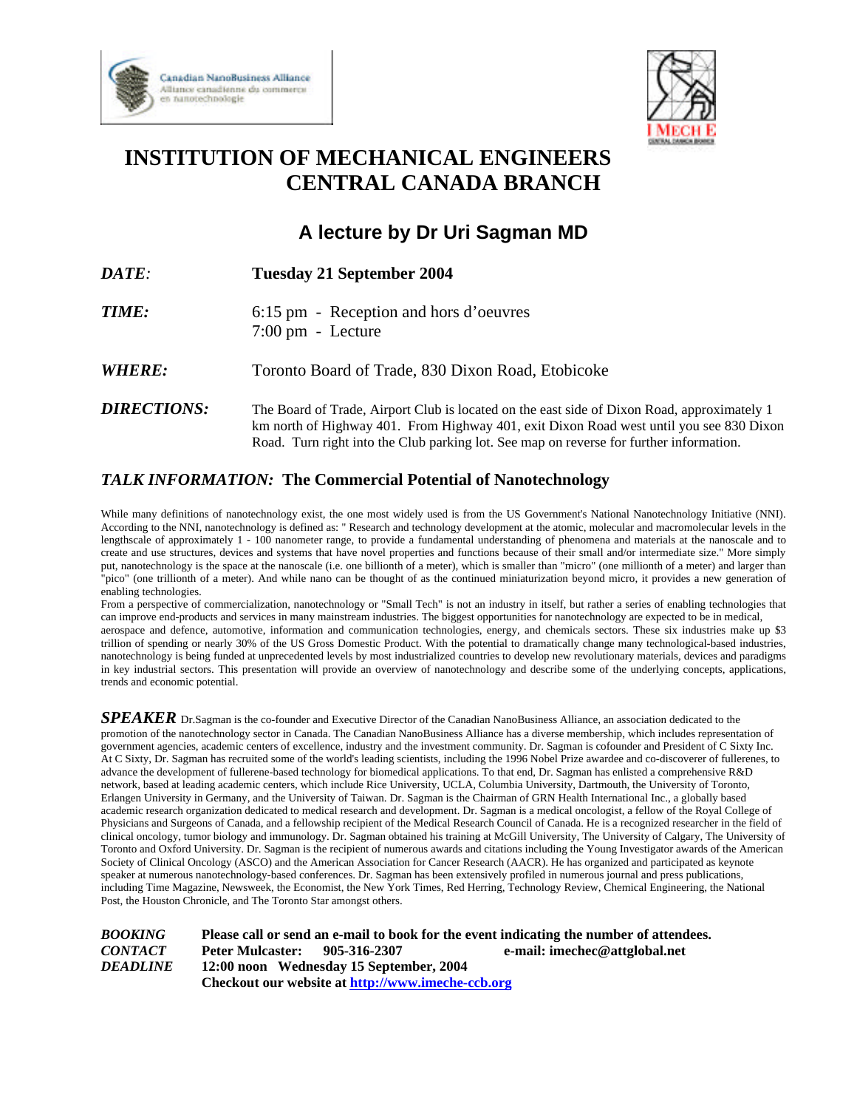



## **INSTITUTION OF MECHANICAL ENGINEERS CENTRAL CANADA BRANCH**

## **A lecture by Dr Uri Sagman MD**

| <i>DATE:</i>       | Tuesday 21 September 2004                                                                                                                                                                                                                                                         |
|--------------------|-----------------------------------------------------------------------------------------------------------------------------------------------------------------------------------------------------------------------------------------------------------------------------------|
| <b>TIME:</b>       | 6:15 pm - Reception and hors d'oeuvres<br>$7:00 \text{ pm}$ - Lecture                                                                                                                                                                                                             |
| <b>WHERE:</b>      | Toronto Board of Trade, 830 Dixon Road, Etobicoke                                                                                                                                                                                                                                 |
| <b>DIRECTIONS:</b> | The Board of Trade, Airport Club is located on the east side of Dixon Road, approximately 1<br>km north of Highway 401. From Highway 401, exit Dixon Road west until you see 830 Dixon<br>Road. Turn right into the Club parking lot. See map on reverse for further information. |

## *TALK INFORMATION:* **The Commercial Potential of Nanotechnology**

While many definitions of nanotechnology exist, the one most widely used is from the US Government's National Nanotechnology Initiative (NNI). According to the NNI, nanotechnology is defined as: " Research and technology development at the atomic, molecular and macromolecular levels in the lengthscale of approximately 1 - 100 nanometer range, to provide a fundamental understanding of phenomena and materials at the nanoscale and to create and use structures, devices and systems that have novel properties and functions because of their small and/or intermediate size." More simply put, nanotechnology is the space at the nanoscale (i.e. one billionth of a meter), which is smaller than "micro" (one millionth of a meter) and larger than "pico" (one trillionth of a meter). And while nano can be thought of as the continued miniaturization beyond micro, it provides a new generation of enabling technologies.

From a perspective of commercialization, nanotechnology or "Small Tech" is not an industry in itself, but rather a series of enabling technologies that can improve end-products and services in many mainstream industries. The biggest opportunities for nanotechnology are expected to be in medical, aerospace and defence, automotive, information and communication technologies, energy, and chemicals sectors. These six industries make up \$3 trillion of spending or nearly 30% of the US Gross Domestic Product. With the potential to dramatically change many technological-based industries, nanotechnology is being funded at unprecedented levels by most industrialized countries to develop new revolutionary materials, devices and paradigms in key industrial sectors. This presentation will provide an overview of nanotechnology and describe some of the underlying concepts, applications, trends and economic potential.

*SPEAKER* Dr.Sagman is the co-founder and Executive Director of the Canadian NanoBusiness Alliance, an association dedicated to the promotion of the nanotechnology sector in Canada. The Canadian NanoBusiness Alliance has a diverse membership, which includes representation of government agencies, academic centers of excellence, industry and the investment community. Dr. Sagman is cofounder and President of C Sixty Inc. At C Sixty, Dr. Sagman has recruited some of the world's leading scientists, including the 1996 Nobel Prize awardee and co-discoverer of fullerenes, to advance the development of fullerene-based technology for biomedical applications. To that end, Dr. Sagman has enlisted a comprehensive R&D network, based at leading academic centers, which include Rice University, UCLA, Columbia University, Dartmouth, the University of Toronto, Erlangen University in Germany, and the University of Taiwan. Dr. Sagman is the Chairman of GRN Health International Inc., a globally based academic research organization dedicated to medical research and development. Dr. Sagman is a medical oncologist, a fellow of the Royal College of Physicians and Surgeons of Canada, and a fellowship recipient of the Medical Research Council of Canada. He is a recognized researcher in the field of clinical oncology, tumor biology and immunology. Dr. Sagman obtained his training at McGill University, The University of Calgary, The University of Toronto and Oxford University. Dr. Sagman is the recipient of numerous awards and citations including the Young Investigator awards of the American Society of Clinical Oncology (ASCO) and the American Association for Cancer Research (AACR). He has organized and participated as keynote speaker at numerous nanotechnology-based conferences. Dr. Sagman has been extensively profiled in numerous journal and press publications, including Time Magazine, Newsweek, the Economist, the New York Times, Red Herring, Technology Review, Chemical Engineering, the National Post, the Houston Chronicle, and The Toronto Star amongst others.

*BOOKING* **Please call or send an e-mail to book for the event indicating the number of attendees.** *CONTACT* **Peter Mulcaster: 905-316-2307 e-mail: imechec@attglobal.net** *DEADLINE* **12:00 noon Wednesday 15 September, 2004 Checkout our website at http://www.imeche-ccb.org**